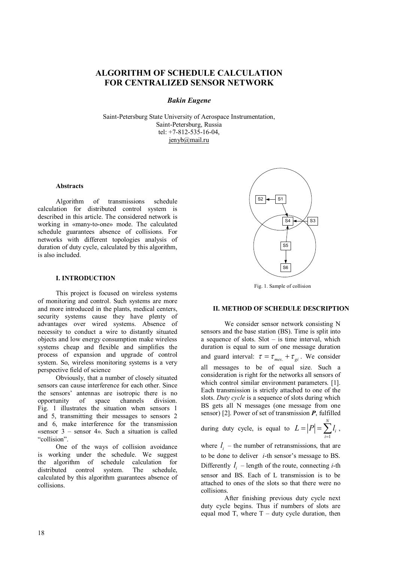# **ALGORITHM OF SCHEDULE CALCULATION FOR CENTRALIZED SENSOR NETWORK**

# *Bakin Eugene*

Saint-Petersburg State University of Aerospace Instrumentation, Saint-Petersburg, Russia tel: +7-812-535-16-04, jenyb@mail.ru

## **Abstracts**

Algorithm of transmissions schedule calculation for distributed control system is described in this article. The considered network is working in «many-to-one» mode. The calculated schedule guarantees absence of collisions. For networks with different topologies analysis of duration of duty cycle, calculated by this algorithm, is also included.

#### **I. INTRODUCTION**

This project is focused on wireless systems of monitoring and control. Such systems are more and more introduced in the plants, medical centers, security systems cause they have plenty of advantages over wired systems. Absence of necessity to conduct a wire to distantly situated objects and low energy consumption make wireless systems cheap and flexible and simplifies the process of expansion and upgrade of control system. So, wireless monitoring systems is a very perspective field of science

Obviously, that a number of closely situated sensors can cause interference for each other. Since the sensors' antennas are isotropic there is no opportunity of space channels division. Fig. 1 illustrates the situation when sensors 1 and 5, transmitting their messages to sensors 2 and 6, make interference for the transmission «sensor 3 – sensor 4». Such a situation is called "collision".

One of the ways of collision avoidance is working under the schedule. We suggest the algorithm of schedule calculation for distributed control system. The schedule, calculated by this algorithm guarantees absence of collisions.



Fig. 1. Sample of collision

### **II. METHOD OF SCHEDULE DESCRIPTION**

We consider sensor network consisting N sensors and the base station (BS). Time is split into a sequence of slots. Slot – is time interval, which duration is equal to sum of one message duration and guard interval:  $\tau = \tau_{mes.} + \tau_{gi}$ . We consider all messages to be of equal size. Such a consideration is right for the networks all sensors of which control similar environment parameters. [1]. Each transmission is strictly attached to one of the slots. *Duty cycle* is a sequence of slots during which BS gets all N messages (one message from one sensor) [2]. Power of set of transmission *P*, fulfilled

during duty cycle, is equal to 1 *N i i*  $L = |P| = \sum l_i$ ,  $= |P| = \sum_{i=1}^{\infty} l_i$ ,

where  $l_i$  – the number of retransmissions, that are to be done to deliver *i*-th sensor's message to BS. Differently  $l_i$  – length of the route, connecting *i*-th sensor and BS. Each of L transmission is to be attached to ones of the slots so that there were no collisions.

After finishing previous duty cycle next duty cycle begins. Thus if numbers of slots are equal mod T, where  $T -$  duty cycle duration, then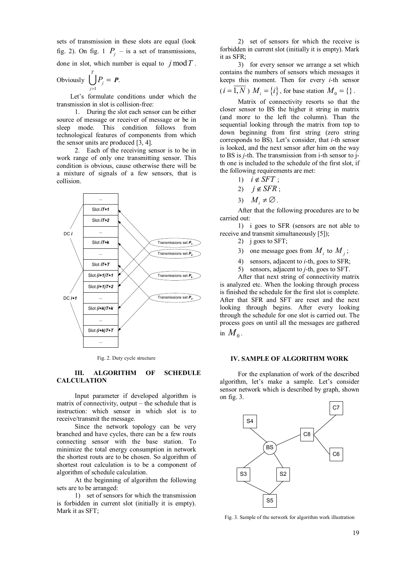sets of transmission in these slots are equal (look fig. 2). On fig. 1  $P_j$  – is a set of transmissions, done in slot, which number is equal to  $j \mod T$ .

Obviously 
$$
\bigcup_{j=1}^T P_j = P.
$$

Let's formulate conditions under which the transmission in slot is collision-free:

1. During the slot each sensor can be either source of message or receiver of message or be in sleep mode. This condition follows from technological features of components from which the sensor units are produced  $\overline{3}$ , 4].

2. Each of the receiving sensor is to be in work range of only one transmitting sensor. This condition is obvious, cause otherwise there will be a mixture of signals of a few sensors, that is collision.



Fig. 2. Duty cycle structure

# **III. ALGORITHM OF SCHEDULE CALCULATION**

Input parameter if developed algorithm is matrix of connectivity, output – the schedule that is instruction: which sensor in which slot is to receive/transmit the message.

Since the network topology can be very branched and have cycles, there can be a few routs connecting sensor with the base station. To minimize the total energy consumption in network the shortest routs are to be chosen. So algorithm of shortest rout calculation is to be a component of algorithm of schedule calculation.

At the beginning of algorithm the following sets are to be arranged:

1) set of sensors for which the transmission is forbidden in current slot (initially it is empty). Mark it as SFT;

2) set of sensors for which the receive is forbidden in current slot (initially it is empty). Mark it as SFR;

3) for every sensor we arrange a set which contains the numbers of sensors which messages it keeps this moment. Then for every *i*-th sensor

$$
(i = 1, N) Mi = {i}, for base station M0 = {}.
$$

Matrix of connectivity resorts so that the closer sensor to BS the higher it string in matrix (and more to the left the column). Than the sequential looking through the matrix from top to down beginning from first string (zero string corresponds to BS). Let's consider, that *i*-th sensor is looked, and the next sensor after him on the way to BS is *j*-th. The transmission from i-th sensor to jth one is included to the schedule of the first slot, if the following requirements are met:

- 1)  $i \notin SFT$ :
- 2)  $i \notin SFR$ :
- 3)  $M_i \neq \emptyset$ .

After that the following procedures are to be carried out:

1) i goes to SFR (sensors are not able to receive and transmit simultaneously [5]);

- 2) j goes to SFT;
- 3) one message goes from  $M_i$  to  $M_j$ ;
- 4) sensors, adjacent to *i*-th, goes to SFR;
- 5) sensors, adjacent to *j*-th, goes to SFT.

After that next string of connectivity matrix is analyzed etc. When the looking through process is finished the schedule for the first slot is complete. After that SFR and SFT are reset and the next looking through begins. After every looking through the schedule for one slot is carried out. The process goes on until all the messages are gathered in  $M_{0}$  .

#### **IV. SAMPLE OF ALGORITHM WORK**

For the explanation of work of the described algorithm, let's make a sample. Let's consider sensor network which is described by graph, shown on fig. 3.



Fig. 3. Sample of the network for algorithm work illustration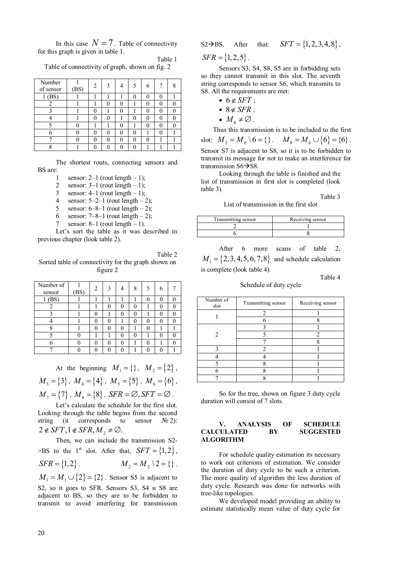In this case  $N = 7$ . Table of connectivity for this graph is given in table 1. Table 1

|                                                 | t avic |
|-------------------------------------------------|--------|
| Table of connectivity of graph, shown on fig. 2 |        |

| Number<br>of sensor | (BS) | 2 | $\mathcal{F}$ |   | 5 <sup>5</sup> | 6 |   |  |
|---------------------|------|---|---------------|---|----------------|---|---|--|
| (BS)                |      |   |               |   |                |   |   |  |
| 2                   |      |   | 0             |   |                | 0 | 0 |  |
|                     |      |   |               |   |                | 0 | 0 |  |
|                     |      | 0 | 0             |   | $\mathbf{0}$   |   |   |  |
|                     |      |   |               | 0 |                | 0 | 0 |  |
| 6                   |      |   | 0             |   |                |   |   |  |
|                     |      |   | 0             |   | $\mathbf{0}$   |   |   |  |
|                     |      |   | $\Omega$      |   |                |   |   |  |

The shortest routs, connecting sensors and BS are:

- 1 sensor:  $2-1$  (rout length  $-1$ );
- 2 sensor:  $3-1$  (rout length  $-1$ );
- 3 sensor:  $4-1$  (rout length  $-1$ );
- 4 sensor:  $5-2-1$  (rout length  $-2$ );
- 5 sensor:  $6-8-1$  (rout length  $-2$ );
- 6 sensor:  $7-8-1$  (rout length  $-2$ );
- 7 sensor:  $8-1$  (rout length  $-1$ ).

Let's sort the table as it was described in previous chapter (look table 2).

Table 2 Sorted table of connectivity for the graph shown on figure 2

| Number of<br>sensor | (BS) | 2 | $\mathcal{F}$ | $\Lambda$ | 8 | 5        | 6 |  |
|---------------------|------|---|---------------|-----------|---|----------|---|--|
| (BS)                |      |   |               |           |   | ſ        |   |  |
|                     |      |   | $\mathcal{L}$ | 0         | 0 |          |   |  |
|                     |      |   |               |           |   |          |   |  |
|                     |      | 0 |               |           | 0 |          |   |  |
|                     |      | 0 | 0             | 0         |   | 0        |   |  |
|                     |      |   |               |           |   |          |   |  |
|                     |      | 0 | $\mathcal{L}$ |           |   | $\Omega$ |   |  |
|                     |      |   |               |           |   |          |   |  |

At the beginning  $M_1 = \{\}, M_2 = \{2\},\$  $M_3 = \{3\}, M_4 = \{4\}, M_5 = \{5\}, M_6 = \{6\},$  $M_7 = \{7\}$ ,  $M_8 = \{8\}$ . *SFR* =  $\emptyset$ , *SFT* =  $\emptyset$ .

Let's calculate the schedule for the first slot. Looking through the table begins from the second string (it corresponds to sensor  $N_2$ ):  $2 \notin SFT, 1 \notin SFR, M<sub>2</sub> \neq \emptyset.$ 

Then, we can include the transmission S2-  $>$ BS to the 1<sup>st</sup> slot. After that,  $SFT = \{1, 2\}$ ,

$$
SFR = \{1, 2\}.
$$
  $M_2 = M_2 \setminus 2 = \{\}.$ 

 $M_1 = M_1 \cup \{2\} = \{2\}$ . Sensor S5 is adjacent to S2, so it goes to SFR. Sensors S3, S4 и S8 are adjacent to BS, so they are to be forbidden to transmit to avoid interfering for transmission

S2
$$
\rightarrow
$$
BS. After that:  $SFT = \{1, 2, 3, 4, 8\}$ ,

 $SFR = \{1, 2, 5\}.$ 

Sensors S3, S4, S8, S5 are in forbidding sets so they cannot transmit in this slot. The seventh string corresponds to sensor S6, which transmits to S8. All the requirements are met:

- $\bullet$  6  $\in$  *SFT* :
- $\bullet$  8  $\notin$  *SFR* ;
- $M_{6} \neq \emptyset$ .

Thus this transmission is to be included to the first slot:  $M_2 = M_6 \setminus 6 = \{\}$ .  $M_8 = M_8 \cup \{6\} = \{6\}$ . Sensor S7 is adjacent to S8, so it is to be forbidden to transmit its message for not to make an interference for transmission  $S6 \rightarrow S8$ .

Looking through the table is finished and the list of transmission in first slot is completed (look table 3).

Table 3

List of transmission in the first slot

| Transmitting sensor | Receiving sensor |
|---------------------|------------------|
|                     |                  |
|                     |                  |

After 6 more scans of table 2.  $M_1 = \{2, 3, 4, 5, 6, 7, 8\}$  and schedule calculation is complete (look table 4).

Table 4

Schedule of duty cycle

| Number of<br>slot | Transmitting sensor | Receiving sensor |  |  |  |
|-------------------|---------------------|------------------|--|--|--|
|                   |                     |                  |  |  |  |
|                   |                     |                  |  |  |  |
|                   |                     |                  |  |  |  |
| 2                 |                     |                  |  |  |  |
|                   |                     |                  |  |  |  |
|                   | า                   |                  |  |  |  |
|                   |                     |                  |  |  |  |
|                   |                     |                  |  |  |  |
|                   |                     |                  |  |  |  |
|                   |                     |                  |  |  |  |

So for the tree, shown on figure 3 duty cycle duration will consist of 7 slots.

## **V. ANALYSIS OF SCHEDULE CALCULATED BY SUGGESTED ALGORITHM**

For schedule quality estimation its necessary to work out criterions of estimation. We consider the duration of duty cycle to be such a criterion. The more quality of algorithm the less duration of duty cycle. Research was done for networks with tree-like topologies.

We developed model providing an ability to estimate statistically mean value of duty cycle for